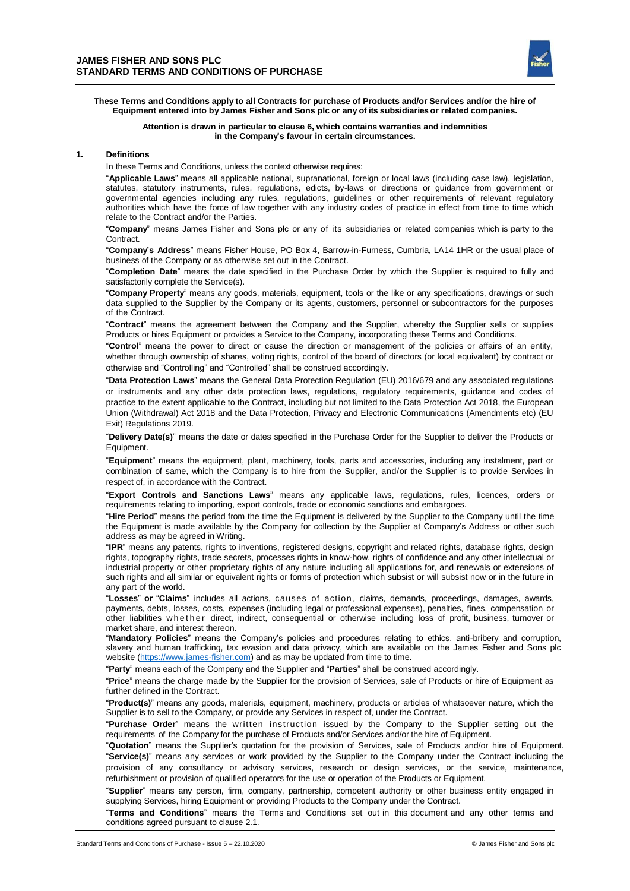

**These Terms and Conditions apply to all Contracts for purchase of Products and/or Services and/or the hire of Equipment entered into by James Fisher and Sons plc or any of its subsidiaries or related companies.**

> **Attention is drawn in particular to clause 6, which contains warranties and indemnities in the Company's favour in certain circumstances.**

#### **1. Definitions**

In these Terms and Conditions, unless the context otherwise requires:

"**Applicable Laws**" means all applicable national, supranational, foreign or local laws (including case law), legislation, statutes, statutory instruments, rules, regulations, edicts, by-laws or directions or guidance from government or governmental agencies including any rules, regulations, guidelines or other requirements of relevant regulatory authorities which have the force of law together with any industry codes of practice in effect from time to time which relate to the Contract and/or the Parties.

"**Company**" means James Fisher and Sons plc or any of its subsidiaries or related companies which is party to the Contract.

"**Company's Address**" means Fisher House, PO Box 4, Barrow-in-Furness, Cumbria, LA14 1HR or the usual place of business of the Company or as otherwise set out in the Contract.

"**Completion Date**" means the date specified in the Purchase Order by which the Supplier is required to fully and satisfactorily complete the Service(s).

"**Company Property**" means any goods, materials, equipment, tools or the like or any specifications, drawings or such data supplied to the Supplier by the Company or its agents, customers, personnel or subcontractors for the purposes of the Contract.

"**Contract**" means the agreement between the Company and the Supplier, whereby the Supplier sells or supplies Products or hires Equipment or provides a Service to the Company, incorporating these Terms and Conditions.

"**Control**" means the power to direct or cause the direction or management of the policies or affairs of an entity, whether through ownership of shares, voting rights, control of the board of directors (or local equivalent) by contract or otherwise and "Controlling" and "Controlled" shall be construed accordingly.

"**Data Protection Laws**" means the General Data Protection Regulation (EU) 2016/679 and any associated regulations or instruments and any other data protection laws, regulations, regulatory requirements, guidance and codes of practice to the extent applicable to the Contract, including but not limited to the Data Protection Act 2018, the European Union (Withdrawal) Act 2018 and the Data Protection, Privacy and Electronic Communications (Amendments etc) (EU Exit) Regulations 2019.

"**Delivery Date(s)**" means the date or dates specified in the Purchase Order for the Supplier to deliver the Products or Equipment.

"**Equipment**" means the equipment, plant, machinery, tools, parts and accessories, including any instalment, part or combination of same, which the Company is to hire from the Supplier, and/or the Supplier is to provide Services in respect of, in accordance with the Contract.

"**Export Controls and Sanctions Laws**" means any applicable laws, regulations, rules, licences, orders or requirements relating to importing, export controls, trade or economic sanctions and embargoes.

"**Hire Period**" means the period from the time the Equipment is delivered by the Supplier to the Company until the time the Equipment is made available by the Company for collection by the Supplier at Company's Address or other such address as may be agreed in Writing.

"**IPR**" means any patents, rights to inventions, registered designs, copyright and related rights, database rights, design rights, topography rights, trade secrets, processes rights in know-how, rights of confidence and any other intellectual or industrial property or other proprietary rights of any nature including all applications for, and renewals or extensions of such rights and all similar or equivalent rights or forms of protection which subsist or will subsist now or in the future in any part of the world.

"**Losses**" **or** "**Claims**" includes all actions, causes of action, claims, demands, proceedings, damages, awards, payments, debts, losses, costs, expenses (including legal or professional expenses), penalties, fines, compensation or other liabilities whether direct, indirect, consequential or otherwise including loss of profit, business, turnover or market share, and interest thereon.

"**Mandatory Policies**" means the Company's policies and procedures relating to ethics, anti-bribery and corruption, slavery and human trafficking, tax evasion and data privacy, which are available on the James Fisher and Sons plc website [\(https://www.james-fisher.com\)](https://www.james-fisher.com/) and as may be updated from time to time.

"**Party**" means each of the Company and the Supplier and "**Parties**" shall be construed accordingly.

"**Price**" means the charge made by the Supplier for the provision of Services, sale of Products or hire of Equipment as further defined in the Contract.

"**Product(s)**" means any goods, materials, equipment, machinery, products or articles of whatsoever nature, which the Supplier is to sell to the Company, or provide any Services in respect of, under the Contract.

"**Purchase Order**" means the written instruction issued by the Company to the Supplier setting out the requirements of the Company for the purchase of Products and/or Services and/or the hire of Equipment.

"**Quotation**" means the Supplier's quotation for the provision of Services, sale of Products and/or hire of Equipment. "**Service(s)**" means any services or work provided by the Supplier to the Company under the Contract including the provision of any consultancy or advisory services, research or design services, or the service, maintenance, refurbishment or provision of qualified operators for the use or operation of the Products or Equipment.

"**Supplier**" means any person, firm, company, partnership, competent authority or other business entity engaged in supplying Services, hiring Equipment or providing Products to the Company under the Contract.

"**Terms and Conditions**" means the Terms and Conditions set out in this document and any other terms and conditions agreed pursuant to clause 2.1.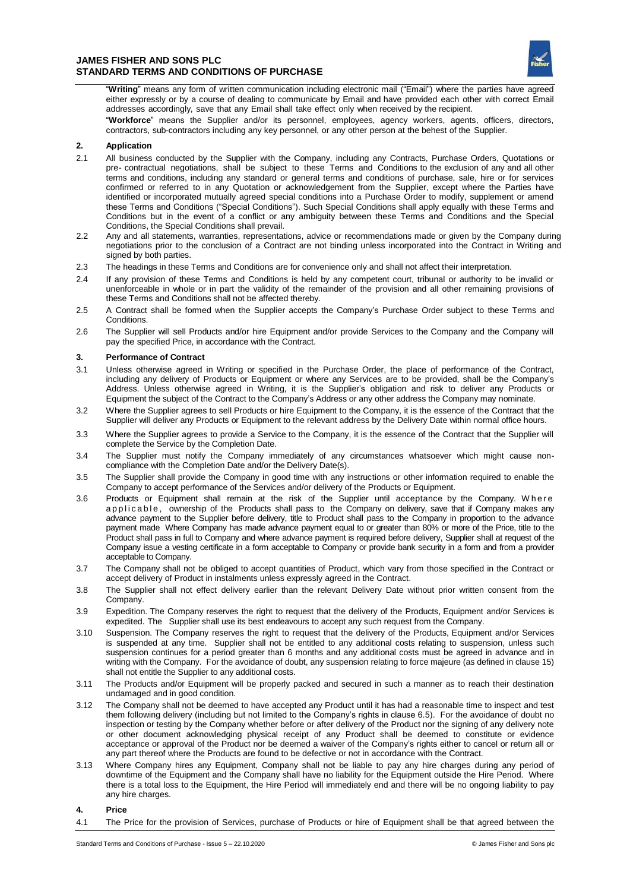

"**Writing**" means any form of written communication including electronic mail ("Email") where the parties have agreed either expressly or by a course of dealing to communicate by Email and have provided each other with correct Email addresses accordingly, save that any Email shall take effect only when received by the recipient.

"**Workforce**" means the Supplier and/or its personnel, employees, agency workers, agents, officers, directors, contractors, sub-contractors including any key personnel, or any other person at the behest of the Supplier.

### **2. Application**

- 2.1 All business conducted by the Supplier with the Company, including any Contracts, Purchase Orders, Quotations or pre- contractual negotiations, shall be subject to these Terms and Conditions to the exclusion of any and all other terms and conditions, including any standard or general terms and conditions of purchase, sale, hire or for services confirmed or referred to in any Quotation or acknowledgement from the Supplier, except where the Parties have identified or incorporated mutually agreed special conditions into a Purchase Order to modify, supplement or amend these Terms and Conditions ("Special Conditions"). Such Special Conditions shall apply equally with these Terms and Conditions but in the event of a conflict or any ambiguity between these Terms and Conditions and the Special Conditions, the Special Conditions shall prevail.
- 2.2 Any and all statements, warranties, representations, advice or recommendations made or given by the Company during negotiations prior to the conclusion of a Contract are not binding unless incorporated into the Contract in Writing and signed by both parties.
- 2.3 The headings in these Terms and Conditions are for convenience only and shall not affect their interpretation.
- 2.4 If any provision of these Terms and Conditions is held by any competent court, tribunal or authority to be invalid or unenforceable in whole or in part the validity of the remainder of the provision and all other remaining provisions of these Terms and Conditions shall not be affected thereby.
- 2.5 A Contract shall be formed when the Supplier accepts the Company's Purchase Order subject to these Terms and Conditions.
- 2.6 The Supplier will sell Products and/or hire Equipment and/or provide Services to the Company and the Company will pay the specified Price, in accordance with the Contract.

### **3. Performance of Contract**

- 3.1 Unless otherwise agreed in Writing or specified in the Purchase Order, the place of performance of the Contract, including any delivery of Products or Equipment or where any Services are to be provided, shall be the Company's Address. Unless otherwise agreed in Writing, it is the Supplier's obligation and risk to deliver any Products or Equipment the subject of the Contract to the Company's Address or any other address the Company may nominate.
- 3.2 Where the Supplier agrees to sell Products or hire Equipment to the Company, it is the essence of the Contract that the Supplier will deliver any Products or Equipment to the relevant address by the Delivery Date within normal office hours.
- 3.3 Where the Supplier agrees to provide a Service to the Company, it is the essence of the Contract that the Supplier will complete the Service by the Completion Date.
- 3.4 The Supplier must notify the Company immediately of any circumstances whatsoever which might cause noncompliance with the Completion Date and/or the Delivery Date(s).
- 3.5 The Supplier shall provide the Company in good time with any instructions or other information required to enable the Company to accept performance of the Services and/or delivery of the Products or Equipment.
- 3.6 Products or Equipment shall remain at the risk of the Supplier until acceptance by the Company. Where applicable, ownership of the Products shall pass to the Company on delivery, save that if Company makes any advance payment to the Supplier before delivery, title to Product shall pass to the Company in proportion to the advance payment made Where Company has made advance payment equal to or greater than 80% or more of the Price, title to the Product shall pass in full to Company and where advance payment is required before delivery, Supplier shall at request of the Company issue a vesting certificate in a form acceptable to Company or provide bank security in a form and from a provider acceptable to Company.
- 3.7 The Company shall not be obliged to accept quantities of Product, which vary from those specified in the Contract or accept delivery of Product in instalments unless expressly agreed in the Contract.
- 3.8 The Supplier shall not effect delivery earlier than the relevant Delivery Date without prior written consent from the Company.
- 3.9 Expedition. The Company reserves the right to request that the delivery of the Products, Equipment and/or Services is expedited. The Supplier shall use its best endeavours to accept any such request from the Company.
- 3.10 Suspension. The Company reserves the right to request that the delivery of the Products, Equipment and/or Services is suspended at any time. Supplier shall not be entitled to any additional costs relating to suspension, unless such suspension continues for a period greater than 6 months and any additional costs must be agreed in advance and in writing with the Company. For the avoidance of doubt, any suspension relating to force majeure (as defined in clause 15) shall not entitle the Supplier to any additional costs.
- 3.11 The Products and/or Equipment will be properly packed and secured in such a manner as to reach their destination undamaged and in good condition.
- 3.12 The Company shall not be deemed to have accepted any Product until it has had a reasonable time to inspect and test them following delivery (including but not limited to the Company's rights in clause 6.5). For the avoidance of doubt no inspection or testing by the Company whether before or after delivery of the Product nor the signing of any delivery note or other document acknowledging physical receipt of any Product shall be deemed to constitute or evidence acceptance or approval of the Product nor be deemed a waiver of the Company's rights either to cancel or return all or any part thereof where the Products are found to be defective or not in accordance with the Contract.
- 3.13 Where Company hires any Equipment, Company shall not be liable to pay any hire charges during any period of downtime of the Equipment and the Company shall have no liability for the Equipment outside the Hire Period. Where there is a total loss to the Equipment, the Hire Period will immediately end and there will be no ongoing liability to pay any hire charges.

#### **4. Price**

4.1 The Price for the provision of Services, purchase of Products or hire of Equipment shall be that agreed between the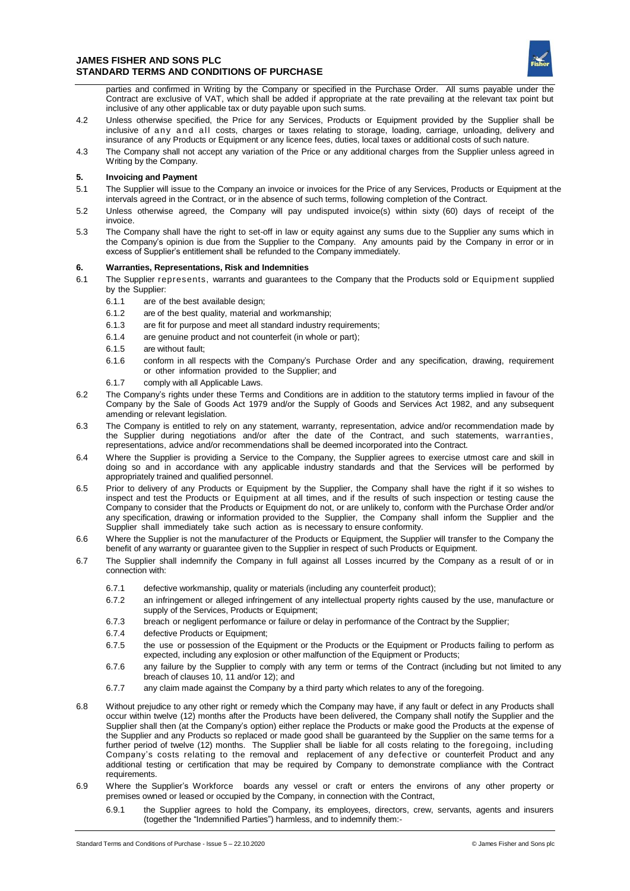

parties and confirmed in Writing by the Company or specified in the Purchase Order. All sums payable under the Contract are exclusive of VAT, which shall be added if appropriate at the rate prevailing at the relevant tax point but inclusive of any other applicable tax or duty payable upon such sums.

- 4.2 Unless otherwise specified, the Price for any Services, Products or Equipment provided by the Supplier shall be inclusive of any and aII costs, charges or taxes relating to storage, loading, carriage, unloading, delivery and insurance of any Products or Equipment or any licence fees, duties, local taxes or additional costs of such nature.
- 4.3 The Company shall not accept any variation of the Price or any additional charges from the Supplier unless agreed in Writing by the Company.

### **5. Invoicing and Payment**

- 5.1 The Supplier will issue to the Company an invoice or invoices for the Price of any Services, Products or Equipment at the intervals agreed in the Contract, or in the absence of such terms, following completion of the Contract.
- 5.2 Unless otherwise agreed, the Company will pay undisputed invoice(s) within sixty (60) days of receipt of the invoice.
- 5.3 The Company shall have the right to set-off in law or equity against any sums due to the Supplier any sums which in the Company's opinion is due from the Supplier to the Company. Any amounts paid by the Company in error or in excess of Supplier's entitlement shall be refunded to the Company immediately.

### **6. Warranties, Representations, Risk and Indemnities**

- 6.1 The Supplier represents, warrants and guarantees to the Company that the Products sold or Equipment supplied by the Supplier:
	- 6.1.1 are of the best available design;
	- 6.1.2 are of the best quality, material and workmanship;
	- 6.1.3 are fit for purpose and meet all standard industry requirements;
	- 6.1.4 are genuine product and not counterfeit (in whole or part);
	- 6.1.5 are without fault;
	- 6.1.6 conform in all respects with the Company's Purchase Order and any specification, drawing, requirement or other information provided to the Supplier; and
	- 6.1.7 comply with all Applicable Laws.
- 6.2 The Company's rights under these Terms and Conditions are in addition to the statutory terms implied in favour of the Company by the Sale of Goods Act 1979 and/or the Supply of Goods and Services Act 1982, and any subsequent amending or relevant legislation.
- 6.3 The Company is entitled to rely on any statement, warranty, representation, advice and/or recommendation made by the Supplier during negotiations and/or after the date of the Contract, and such statements, warranties, representations, advice and/or recommendations shall be deemed incorporated into the Contract.
- 6.4 Where the Supplier is providing a Service to the Company, the Supplier agrees to exercise utmost care and skill in doing so and in accordance with any applicable industry standards and that the Services will be performed by appropriately trained and qualified personnel.
- 6.5 Prior to delivery of any Products or Equipment by the Supplier, the Company shall have the right if it so wishes to inspect and test the Products or Equipment at all times, and if the results of such inspection or testing cause the Company to consider that the Products or Equipment do not, or are unlikely to, conform with the Purchase Order and/or any specification, drawing or information provided to the Supplier, the Company shall inform the Supplier and the Supplier shall immediately take such action as is necessary to ensure conformity.
- 6.6 Where the Supplier is not the manufacturer of the Products or Equipment, the Supplier will transfer to the Company the benefit of any warranty or guarantee given to the Supplier in respect of such Products or Equipment.
- 6.7 The Supplier shall indemnify the Company in full against all Losses incurred by the Company as a result of or in connection with:
	- 6.7.1 defective workmanship, quality or materials (including any counterfeit product);
	- 6.7.2 an infringement or alleged infringement of any intellectual property rights caused by the use, manufacture or supply of the Services, Products or Equipment;
	- 6.7.3 breach or negligent performance or failure or delay in performance of the Contract by the Supplier;
	- 6.7.4 defective Products or Equipment;
	- 6.7.5 the use or possession of the Equipment or the Products or the Equipment or Products failing to perform as expected, including any explosion or other malfunction of the Equipment or Products;
	- 6.7.6 any failure by the Supplier to comply with any term or terms of the Contract (including but not limited to any breach of clauses 10, 11 and/or 12); and
	- 6.7.7 any claim made against the Company by a third party which relates to any of the foregoing.
- 6.8 Without prejudice to any other right or remedy which the Company may have, if any fault or defect in any Products shall occur within twelve (12) months after the Products have been delivered, the Company shall notify the Supplier and the Supplier shall then (at the Company's option) either replace the Products or make good the Products at the expense of the Supplier and any Products so replaced or made good shall be guaranteed by the Supplier on the same terms for a further period of twelve (12) months. The Supplier shall be liable for all costs relating to the foregoing, including Company's costs relating to the removal and replacement of any defective or counterfeit Product and any additional testing or certification that may be required by Company to demonstrate compliance with the Contract requirements.
- 6.9 Where the Supplier's Workforce boards any vessel or craft or enters the environs of any other property or premises owned or leased or occupied by the Company, in connection with the Contract,
	- 6.9.1 the Supplier agrees to hold the Company, its employees, directors, crew, servants, agents and insurers (together the "Indemnified Parties") harmless, and to indemnify them:-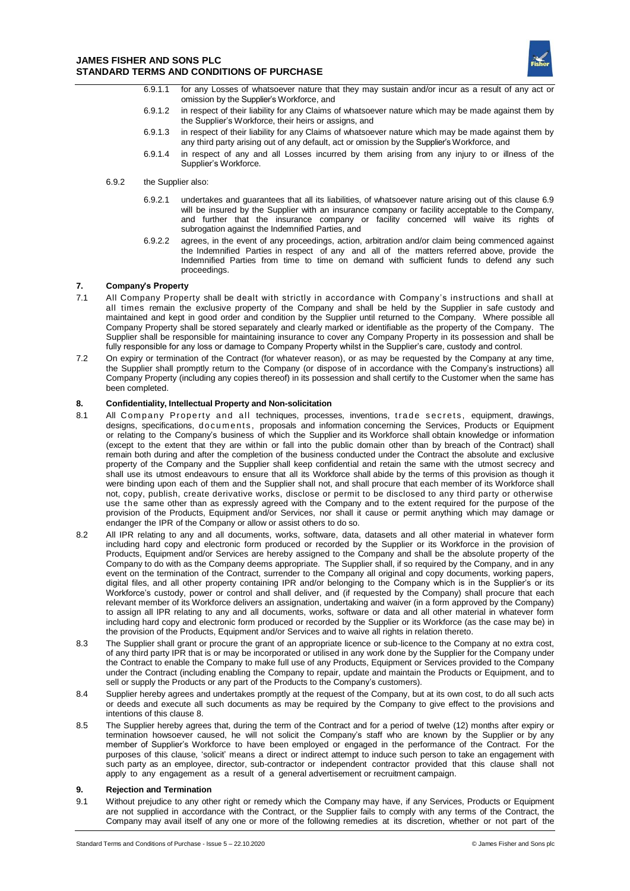

- 6.9.1.1 for any Losses of whatsoever nature that they may sustain and/or incur as a result of any act or omission by the Supplier's Workforce, and
- 6.9.1.2 in respect of their liability for any Claims of whatsoever nature which may be made against them by the Supplier's Workforce, their heirs or assigns, and
- 6.9.1.3 in respect of their liability for any Claims of whatsoever nature which may be made against them by any third party arising out of any default, act or omission by the Supplier's Workforce, and
- 6.9.1.4 in respect of any and all Losses incurred by them arising from any injury to or illness of the Supplier's Workforce.
- 6.9.2 the Supplier also:
	- 6.9.2.1 undertakes and guarantees that all its liabilities, of whatsoever nature arising out of this clause 6.9 will be insured by the Supplier with an insurance company or facility acceptable to the Company, and further that the insurance company or facility concerned will waive its rights of subrogation against the Indemnified Parties, and
	- 6.9.2.2 agrees, in the event of any proceedings, action, arbitration and/or claim being commenced against the Indemnified Parties in respect of any and all of the matters referred above, provide the Indemnified Parties from time to time on demand with sufficient funds to defend any such proceedings.

# **7. Company's Property**

- 7.1 All Company Property shall be dealt with strictly in accordance with Company's instructions and shall at all times remain the exclusive property of the Company and shall be held by the Supplier in safe custody and maintained and kept in good order and condition by the Supplier until returned to the Company. Where possible all Company Property shall be stored separately and clearly marked or identifiable as the property of the Company. The Supplier shall be responsible for maintaining insurance to cover any Company Property in its possession and shall be fully responsible for any loss or damage to Company Property whilst in the Supplier's care, custody and control.
- 7.2 On expiry or termination of the Contract (for whatever reason), or as may be requested by the Company at any time, the Supplier shall promptly return to the Company (or dispose of in accordance with the Company's instructions) all Company Property (including any copies thereof) in its possession and shall certify to the Customer when the same has been completed.

### **8. Confidentiality, Intellectual Property and Non-solicitation**

- 8.1 All Company Property and all techniques, processes, inventions, trade secrets, equipment, drawings, designs, specifications, documents, proposals and information concerning the Services, Products or Equipment or relating to the Company's business of which the Supplier and its Workforce shall obtain knowledge or information (except to the extent that they are within or fall into the public domain other than by breach of the Contract) shall remain both during and after the completion of the business conducted under the Contract the absolute and exclusive property of the Company and the Supplier shall keep confidential and retain the same with the utmost secrecy and shall use its utmost endeavours to ensure that all its Workforce shall abide by the terms of this provision as though it were binding upon each of them and the Supplier shall not, and shall procure that each member of its Workforce shall not, copy, publish, create derivative works, disclose or permit to be disclosed to any third party or otherwise use the same other than as expressly agreed with the Company and to the extent required for the purpose of the provision of the Products, Equipment and/or Services, nor shall it cause or permit anything which may damage or endanger the IPR of the Company or allow or assist others to do so.
- 8.2 All IPR relating to any and all documents, works, software, data, datasets and all other material in whatever form including hard copy and electronic form produced or recorded by the Supplier or its Workforce in the provision of Products, Equipment and/or Services are hereby assigned to the Company and shall be the absolute property of the Company to do with as the Company deems appropriate. The Supplier shall, if so required by the Company, and in any event on the termination of the Contract, surrender to the Company all original and copy documents, working papers, digital files, and all other property containing IPR and/or belonging to the Company which is in the Supplier's or its Workforce's custody, power or control and shall deliver, and (if requested by the Company) shall procure that each relevant member of its Workforce delivers an assignation, undertaking and waiver (in a form approved by the Company) to assign all IPR relating to any and all documents, works, software or data and all other material in whatever form including hard copy and electronic form produced or recorded by the Supplier or its Workforce (as the case may be) in the provision of the Products, Equipment and/or Services and to waive all rights in relation thereto.
- 8.3 The Supplier shall grant or procure the grant of an appropriate licence or sub-licence to the Company at no extra cost, of any third party IPR that is or may be incorporated or utilised in any work done by the Supplier for the Company under the Contract to enable the Company to make full use of any Products, Equipment or Services provided to the Company under the Contract (including enabling the Company to repair, update and maintain the Products or Equipment, and to sell or supply the Products or any part of the Products to the Company's customers).
- 8.4 Supplier hereby agrees and undertakes promptly at the request of the Company, but at its own cost, to do all such acts or deeds and execute all such documents as may be required by the Company to give effect to the provisions and intentions of this clause 8.
- 8.5 The Supplier hereby agrees that, during the term of the Contract and for a period of twelve (12) months after expiry or termination howsoever caused, he will not solicit the Company's staff who are known by the Supplier or by any member of Supplier's Workforce to have been employed or engaged in the performance of the Contract. For the purposes of this clause, 'solicit' means a direct or indirect attempt to induce such person to take an engagement with such party as an employee, director, sub-contractor or independent contractor provided that this clause shall not apply to any engagement as a result of a general advertisement or recruitment campaign.

#### **9. Rejection and Termination**

9.1 Without prejudice to any other right or remedy which the Company may have, if any Services, Products or Equipment are not supplied in accordance with the Contract, or the Supplier fails to comply with any terms of the Contract, the Company may avail itself of any one or more of the following remedies at its discretion, whether or not part of the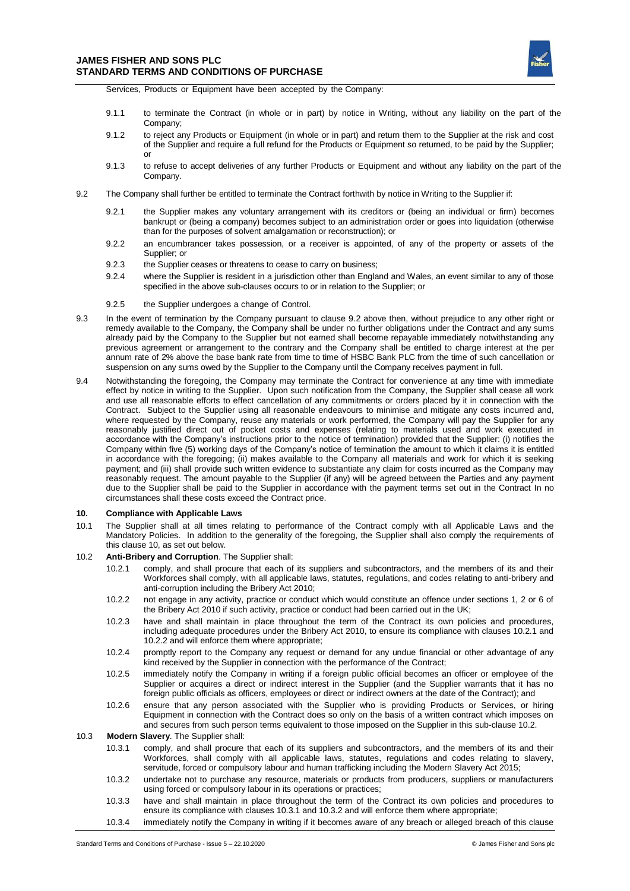### **JAMES FISHER AND SONS PLC STANDARD TERMS AND CONDITIONS OF PURCHASE**



Services, Products or Equipment have been accepted by the Company:

- 9.1.1 to terminate the Contract (in whole or in part) by notice in Writing, without any liability on the part of the Company;
- 9.1.2 to reject any Products or Equipment (in whole or in part) and return them to the Supplier at the risk and cost of the Supplier and require a full refund for the Products or Equipment so returned, to be paid by the Supplier; or
- 9.1.3 to refuse to accept deliveries of any further Products or Equipment and without any liability on the part of the Company.
- 9.2 The Company shall further be entitled to terminate the Contract forthwith by notice in Writing to the Supplier if:
	- 9.2.1 the Supplier makes any voluntary arrangement with its creditors or (being an individual or firm) becomes bankrupt or (being a company) becomes subject to an administration order or goes into liquidation (otherwise than for the purposes of solvent amalgamation or reconstruction); or
	- 9.2.2 an encumbrancer takes possession, or a receiver is appointed, of any of the property or assets of the Supplier; or
	- 9.2.3 the Supplier ceases or threatens to cease to carry on business;
	- 9.2.4 where the Supplier is resident in a jurisdiction other than England and Wales, an event similar to any of those specified in the above sub-clauses occurs to or in relation to the Supplier; or
	- 9.2.5 the Supplier undergoes a change of Control.
- 9.3 In the event of termination by the Company pursuant to clause 9.2 above then, without prejudice to any other right or remedy available to the Company, the Company shall be under no further obligations under the Contract and any sums already paid by the Company to the Supplier but not earned shall become repayable immediately notwithstanding any previous agreement or arrangement to the contrary and the Company shall be entitled to charge interest at the per annum rate of 2% above the base bank rate from time to time of HSBC Bank PLC from the time of such cancellation or suspension on any sums owed by the Supplier to the Company until the Company receives payment in full.
- 9.4 Notwithstanding the foregoing, the Company may terminate the Contract for convenience at any time with immediate effect by notice in writing to the Supplier. Upon such notification from the Company, the Supplier shall cease all work and use all reasonable efforts to effect cancellation of any commitments or orders placed by it in connection with the Contract. Subject to the Supplier using all reasonable endeavours to minimise and mitigate any costs incurred and, where requested by the Company, reuse any materials or work performed, the Company will pay the Supplier for any reasonably justified direct out of pocket costs and expenses (relating to materials used and work executed in accordance with the Company's instructions prior to the notice of termination) provided that the Supplier: (i) notifies the Company within five (5) working days of the Company's notice of termination the amount to which it claims it is entitled in accordance with the foregoing; (ii) makes available to the Company all materials and work for which it is seeking payment; and (iii) shall provide such written evidence to substantiate any claim for costs incurred as the Company may reasonably request. The amount payable to the Supplier (if any) will be agreed between the Parties and any payment due to the Supplier shall be paid to the Supplier in accordance with the payment terms set out in the Contract In no circumstances shall these costs exceed the Contract price.

### **10. Compliance with Applicable Laws**

- 10.1 The Supplier shall at all times relating to performance of the Contract comply with all Applicable Laws and the Mandatory Policies. In addition to the generality of the foregoing, the Supplier shall also comply the requirements of this clause 10, as set out below.
- 10.2 **Anti-Bribery and Corruption**. The Supplier shall:
	- 10.2.1 comply, and shall procure that each of its suppliers and subcontractors, and the members of its and their Workforces shall comply, with all applicable laws, statutes, regulations, and codes relating to anti-bribery and anti-corruption including the Bribery Act 2010;
	- 10.2.2 not engage in any activity, practice or conduct which would constitute an offence under sections 1, 2 or 6 of the Bribery Act 2010 if such activity, practice or conduct had been carried out in the UK;
	- 10.2.3 have and shall maintain in place throughout the term of the Contract its own policies and procedures, including adequate procedures under the Bribery Act 2010, to ensure its compliance with clauses 10.2.1 and 10.2.2 and will enforce them where appropriate;
	- 10.2.4 promptly report to the Company any request or demand for any undue financial or other advantage of any kind received by the Supplier in connection with the performance of the Contract;
	- 10.2.5 immediately notify the Company in writing if a foreign public official becomes an officer or employee of the Supplier or acquires a direct or indirect interest in the Supplier (and the Supplier warrants that it has no foreign public officials as officers, employees or direct or indirect owners at the date of the Contract); and
	- 10.2.6 ensure that any person associated with the Supplier who is providing Products or Services, or hiring Equipment in connection with the Contract does so only on the basis of a written contract which imposes on and secures from such person terms equivalent to those imposed on the Supplier in this sub-clause 10.2.
- 10.3 **Modern Slavery**. The Supplier shall:
	- 10.3.1 comply, and shall procure that each of its suppliers and subcontractors, and the members of its and their Workforces, shall comply with all applicable laws, statutes, regulations and codes relating to slavery, servitude, forced or compulsory labour and human trafficking including the Modern Slavery Act 2015;
	- 10.3.2 undertake not to purchase any resource, materials or products from producers, suppliers or manufacturers using forced or compulsory labour in its operations or practices;
	- 10.3.3 have and shall maintain in place throughout the term of the Contract its own policies and procedures to ensure its compliance with clauses 10.3.1 and 10.3.2 and will enforce them where appropriate;
	- 10.3.4 immediately notify the Company in writing if it becomes aware of any breach or alleged breach of this clause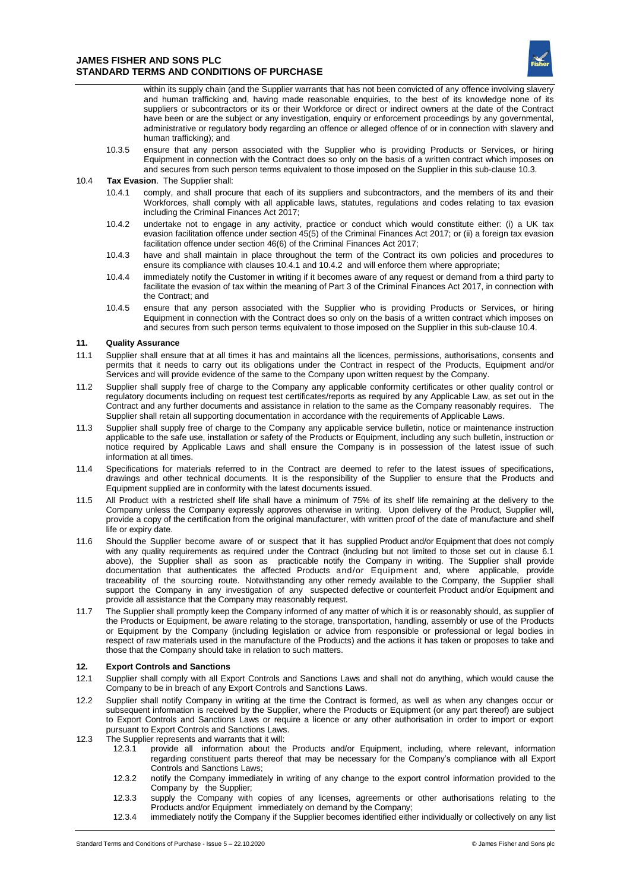

within its supply chain (and the Supplier warrants that has not been convicted of any offence involving slavery and human trafficking and, having made reasonable enquiries, to the best of its knowledge none of its suppliers or subcontractors or its or their Workforce or direct or indirect owners at the date of the Contract have been or are the subject or any investigation, enquiry or enforcement proceedings by any governmental, administrative or regulatory body regarding an offence or alleged offence of or in connection with slavery and human trafficking); and

10.3.5 ensure that any person associated with the Supplier who is providing Products or Services, or hiring Equipment in connection with the Contract does so only on the basis of a written contract which imposes on and secures from such person terms equivalent to those imposed on the Supplier in this sub-clause 10.3.

### 10.4 **Tax Evasion**. The Supplier shall:

- 10.4.1 comply, and shall procure that each of its suppliers and subcontractors, and the members of its and their Workforces, shall comply with all applicable laws, statutes, regulations and codes relating to tax evasion including the Criminal Finances Act 2017;
- 10.4.2 undertake not to engage in any activity, practice or conduct which would constitute either: (i) a UK tax evasion facilitation offence under section 45(5) of the Criminal Finances Act 2017; or (ii) a foreign tax evasion facilitation offence under section 46(6) of the Criminal Finances Act 2017;
- 10.4.3 have and shall maintain in place throughout the term of the Contract its own policies and procedures to ensure its compliance with clauses 10.4.1 and 10.4.2 and will enforce them where appropriate;
- 10.4.4 immediately notify the Customer in writing if it becomes aware of any request or demand from a third party to facilitate the evasion of tax within the meaning of Part 3 of the Criminal Finances Act 2017, in connection with the Contract; and
- 10.4.5 ensure that any person associated with the Supplier who is providing Products or Services, or hiring Equipment in connection with the Contract does so only on the basis of a written contract which imposes on and secures from such person terms equivalent to those imposed on the Supplier in this sub-clause 10.4.

### **11. Quality Assurance**

- 11.1 Supplier shall ensure that at all times it has and maintains all the licences, permissions, authorisations, consents and permits that it needs to carry out its obligations under the Contract in respect of the Products, Equipment and/or Services and will provide evidence of the same to the Company upon written request by the Company.
- 11.2 Supplier shall supply free of charge to the Company any applicable conformity certificates or other quality control or regulatory documents including on request test certificates/reports as required by any Applicable Law, as set out in the Contract and any further documents and assistance in relation to the same as the Company reasonably requires. The Supplier shall retain all supporting documentation in accordance with the requirements of Applicable Laws.
- 11.3 Supplier shall supply free of charge to the Company any applicable service bulletin, notice or maintenance instruction applicable to the safe use, installation or safety of the Products or Equipment, including any such bulletin, instruction or notice required by Applicable Laws and shall ensure the Company is in possession of the latest issue of such information at all times.
- 11.4 Specifications for materials referred to in the Contract are deemed to refer to the latest issues of specifications, drawings and other technical documents. It is the responsibility of the Supplier to ensure that the Products and Equipment supplied are in conformity with the latest documents issued.
- 11.5 All Product with a restricted shelf life shall have a minimum of 75% of its shelf life remaining at the delivery to the Company unless the Company expressly approves otherwise in writing. Upon delivery of the Product, Supplier will, provide a copy of the certification from the original manufacturer, with written proof of the date of manufacture and shelf life or expiry date.
- 11.6 Should the Supplier become aware of or suspect that it has supplied Product and/or Equipment that does not comply with any quality requirements as required under the Contract (including but not limited to those set out in clause 6.1 above), the Supplier shall as soon as practicable notify the Company in writing. The Supplier shall provide documentation that authenticates the affected Products and/or Equipment and, where applicable, provide traceability of the sourcing route. Notwithstanding any other remedy available to the Company, the Supplier shall support the Company in any investigation of any suspected defective or counterfeit Product and/or Equipment and provide all assistance that the Company may reasonably request.
- 11.7 The Supplier shall promptly keep the Company informed of any matter of which it is or reasonably should, as supplier of the Products or Equipment, be aware relating to the storage, transportation, handling, assembly or use of the Products or Equipment by the Company (including legislation or advice from responsible or professional or legal bodies in respect of raw materials used in the manufacture of the Products) and the actions it has taken or proposes to take and those that the Company should take in relation to such matters.

#### **12. Export Controls and Sanctions**

- 12.1 Supplier shall comply with all Export Controls and Sanctions Laws and shall not do anything, which would cause the Company to be in breach of any Export Controls and Sanctions Laws.
- 12.2 Supplier shall notify Company in writing at the time the Contract is formed, as well as when any changes occur or subsequent information is received by the Supplier, where the Products or Equipment (or any part thereof) are subject to Export Controls and Sanctions Laws or require a licence or any other authorisation in order to import or export pursuant to Export Controls and Sanctions Laws.
- 12.3 The Supplier represents and warrants that it will:<br>12.3.1 provide all information about the
	- provide all information about the Products and/or Equipment, including, where relevant, information regarding constituent parts thereof that may be necessary for the Company's compliance with all Export Controls and Sanctions Laws;
	- 12.3.2 notify the Company immediately in writing of any change to the export control information provided to the Company by the Supplier;
	- 12.3.3 supply the Company with copies of any licenses, agreements or other authorisations relating to the Products and/or Equipment immediately on demand by the Company;
	- 12.3.4 immediately notify the Company if the Supplier becomes identified either individually or collectively on any list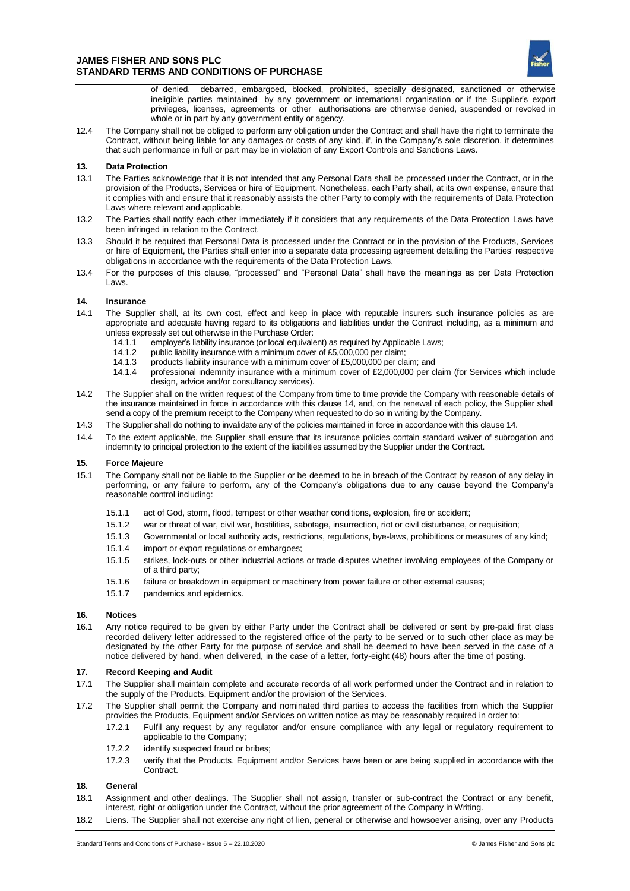

of denied, debarred, embargoed, blocked, prohibited, specially designated, sanctioned or otherwise ineligible parties maintained by any government or international organisation or if the Supplier's export privileges, licenses, agreements or other authorisations are otherwise denied, suspended or revoked in whole or in part by any government entity or agency.

12.4 The Company shall not be obliged to perform any obligation under the Contract and shall have the right to terminate the Contract, without being liable for any damages or costs of any kind, if, in the Company's sole discretion, it determines that such performance in full or part may be in violation of any Export Controls and Sanctions Laws.

# **13. Data Protection**

- 13.1 The Parties acknowledge that it is not intended that any Personal Data shall be processed under the Contract, or in the provision of the Products, Services or hire of Equipment. Nonetheless, each Party shall, at its own expense, ensure that it complies with and ensure that it reasonably assists the other Party to comply with the requirements of Data Protection Laws where relevant and applicable.
- 13.2 The Parties shall notify each other immediately if it considers that any requirements of the Data Protection Laws have been infringed in relation to the Contract.
- 13.3 Should it be required that Personal Data is processed under the Contract or in the provision of the Products, Services or hire of Equipment, the Parties shall enter into a separate data processing agreement detailing the Parties' respective obligations in accordance with the requirements of the Data Protection Laws.
- 13.4 For the purposes of this clause, "processed" and "Personal Data" shall have the meanings as per Data Protection Laws.

### **14. Insurance**

- 14.1 The Supplier shall, at its own cost, effect and keep in place with reputable insurers such insurance policies as are appropriate and adequate having regard to its obligations and liabilities under the Contract including, as a minimum and unless expressly set out otherwise in the Purchase Order:
	- 14.1.1 employer's liability insurance (or local equivalent) as required by Applicable Laws;<br>14.1.2 public liability insurance with a minimum cover of £5.000.000 per claim:
	- 14.1.2 public liability insurance with a minimum cover of £5,000,000 per claim;<br>14.1.3 products liability insurance with a minimum cover of £5,000,000 per cla
	- 14.1.3 products liability insurance with a minimum cover of £5,000,000 per claim; and 14.1.4 professional indemnity insurance with a minimum cover of £2,000,000 per cl
	- professional indemnity insurance with a minimum cover of £2,000,000 per claim (for Services which include design, advice and/or consultancy services).
- 14.2 The Supplier shall on the written request of the Company from time to time provide the Company with reasonable details of the insurance maintained in force in accordance with this clause 14, and, on the renewal of each policy, the Supplier shall send a copy of the premium receipt to the Company when requested to do so in writing by the Company.
- 14.3 The Supplier shall do nothing to invalidate any of the policies maintained in force in accordance with this clause 14.
- 14.4 To the extent applicable, the Supplier shall ensure that its insurance policies contain standard waiver of subrogation and indemnity to principal protection to the extent of the liabilities assumed by the Supplier under the Contract.

#### **15. Force Majeure**

- 15.1 The Company shall not be liable to the Supplier or be deemed to be in breach of the Contract by reason of any delay in performing, or any failure to perform, any of the Company's obligations due to any cause beyond the Company's reasonable control including:
	- 15.1.1 act of God, storm, flood, tempest or other weather conditions, explosion, fire or accident;
	- 15.1.2 war or threat of war, civil war, hostilities, sabotage, insurrection, riot or civil disturbance, or requisition;
	- 15.1.3 Governmental or local authority acts, restrictions, regulations, bye-laws, prohibitions or measures of any kind;
	- 15.1.4 import or export regulations or embargoes;
	- 15.1.5 strikes, lock-outs or other industrial actions or trade disputes whether involving employees of the Company or of a third party;
	- 15.1.6 failure or breakdown in equipment or machinery from power failure or other external causes;
	- 15.1.7 pandemics and epidemics.

#### **16. Notices**

16.1 Any notice required to be given by either Party under the Contract shall be delivered or sent by pre-paid first class recorded delivery letter addressed to the registered office of the party to be served or to such other place as may be designated by the other Party for the purpose of service and shall be deemed to have been served in the case of a notice delivered by hand, when delivered, in the case of a letter, forty-eight (48) hours after the time of posting.

# **17. Record Keeping and Audit**

- 17.1 The Supplier shall maintain complete and accurate records of all work performed under the Contract and in relation to the supply of the Products, Equipment and/or the provision of the Services.
- 17.2 The Supplier shall permit the Company and nominated third parties to access the facilities from which the Supplier provides the Products, Equipment and/or Services on written notice as may be reasonably required in order to:
	- 17.2.1 Fulfil any request by any regulator and/or ensure compliance with any legal or regulatory requirement to applicable to the Company;
	- 17.2.2 identify suspected fraud or bribes;
	- 17.2.3 verify that the Products, Equipment and/or Services have been or are being supplied in accordance with the Contract.

#### **18. General**

- 18.1 Assignment and other dealings. The Supplier shall not assign, transfer or sub-contract the Contract or any benefit, interest, right or obligation under the Contract, without the prior agreement of the Company in Writing.
- 18.2 Liens. The Supplier shall not exercise any right of lien, general or otherwise and howsoever arising, over any Products